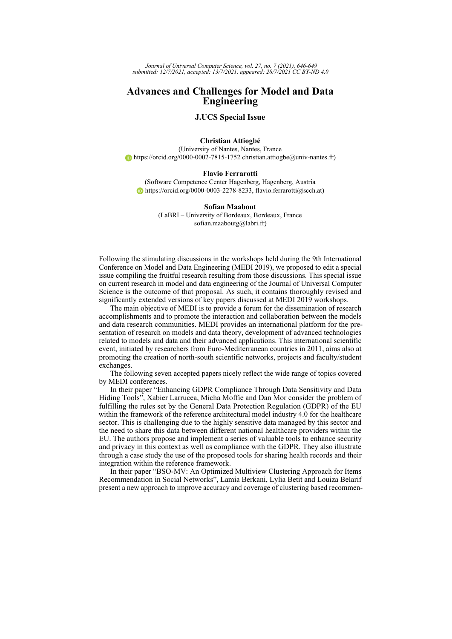*Journal of Universal Computer Science, vol. 27, no. 7 (2021), 646-649 submitted: 12/7/2021, accepted: 13/7/2021, appeared: 28/7/2021 CC BY-ND 4.0*

## **Advances and Challenges for Model and Data Engineering**

## **J.UCS Special Issue**

### **Christian Attiogbé**

(University of Nantes, Nantes, France  $\bullet$  <https://orcid.org/0000-0002-7815-1752> christian.attiogbe@univ-nantes.fr)

#### **Flavio Ferrarotti**

(Software Competence Center Hagenberg, Hagenberg, Austria [https://orcid.org/0000-0003-2278-8233,](https://orcid.org/0000-0003-2278-8233) flavio.ferrarotti@scch.at)

### **Sofian Maabout**

(LaBRI – University of Bordeaux, Bordeaux, France sofian.maaboutg@labri.fr)

Following the stimulating discussions in the workshops held during the 9th International Conference on Model and Data Engineering (MEDI 2019), we proposed to edit a special issue compiling the fruitful research resulting from those discussions. This special issue on current research in model and data engineering of the Journal of Universal Computer Science is the outcome of that proposal. As such, it contains thoroughly revised and significantly extended versions of key papers discussed at MEDI 2019 workshops.

The main objective of MEDI is to provide a forum for the dissemination of research accomplishments and to promote the interaction and collaboration between the models and data research communities. MEDI provides an international platform for the presentation of research on models and data theory, development of advanced technologies related to models and data and their advanced applications. This international scientific event, initiated by researchers from Euro-Mediterranean countries in 2011, aims also at promoting the creation of north-south scientific networks, projects and faculty/student exchanges.

The following seven accepted papers nicely reflect the wide range of topics covered by MEDI conferences.

In their paper "Enhancing GDPR Compliance Through Data Sensitivity and Data Hiding Tools", Xabier Larrucea, Micha Moffie and Dan Mor consider the problem of fulfilling the rules set by the General Data Protection Regulation (GDPR) of the EU within the framework of the reference architectural model industry 4.0 for the healthcare sector. This is challenging due to the highly sensitive data managed by this sector and the need to share this data between different national healthcare providers within the EU. The authors propose and implement a series of valuable tools to enhance security and privacy in this context as well as compliance with the GDPR. They also illustrate through a case study the use of the proposed tools for sharing health records and their integration within the reference framework.

In their paper "BSO-MV: An Optimized Multiview Clustering Approach for Items Recommendation in Social Networks", Lamia Berkani, Lylia Betit and Louiza Belarif present a new approach to improve accuracy and coverage of clustering based recommen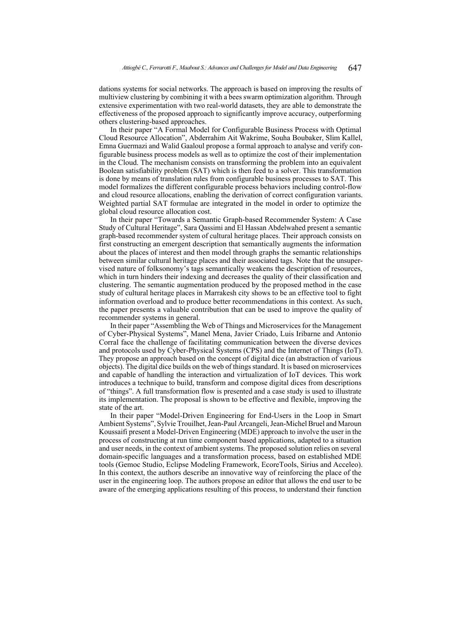dations systems for social networks. The approach is based on improving the results of multiview clustering by combining it with a bees swarm optimization algorithm. Through extensive experimentation with two real-world datasets, they are able to demonstrate the effectiveness of the proposed approach to significantly improve accuracy, outperforming others clustering-based approaches.

In their paper "A Formal Model for Configurable Business Process with Optimal Cloud Resource Allocation", Abderrahim Ait Wakrime, Souha Boubaker, Slim Kallel, Emna Guermazi and Walid Gaaloul propose a formal approach to analyse and verify configurable business process models as well as to optimize the cost of their implementation in the Cloud. The mechanism consists on transforming the problem into an equivalent Boolean satisfiability problem (SAT) which is then feed to a solver. This transformation is done by means of translation rules from configurable business processes to SAT. This model formalizes the different configurable process behaviors including control-flow and cloud resource allocations, enabling the derivation of correct configuration variants. Weighted partial SAT formulae are integrated in the model in order to optimize the global cloud resource allocation cost.

In their paper "Towards a Semantic Graph-based Recommender System: A Case Study of Cultural Heritage", Sara Qassimi and El Hassan Abdelwahed present a semantic graph-based recommender system of cultural heritage places. Their approach consists on first constructing an emergent description that semantically augments the information about the places of interest and then model through graphs the semantic relationships between similar cultural heritage places and their associated tags. Note that the unsupervised nature of folksonomy's tags semantically weakens the description of resources, which in turn hinders their indexing and decreases the quality of their classification and clustering. The semantic augmentation produced by the proposed method in the case study of cultural heritage places in Marrakesh city shows to be an effective tool to fight information overload and to produce better recommendations in this context. As such, the paper presents a valuable contribution that can be used to improve the quality of recommender systems in general.

In their paper "Assembling the Web of Things and Microservices for the Management of Cyber-Physical Systems", Manel Mena, Javier Criado, Luis Iribarne and Antonio Corral face the challenge of facilitating communication between the diverse devices and protocols used by Cyber-Physical Systems (CPS) and the Internet of Things (IoT). They propose an approach based on the concept of digital dice (an abstraction of various objects). The digital dice builds on the web of things standard. It is based on microservices and capable of handling the interaction and virtualization of IoT devices. This work introduces a technique to build, transform and compose digital dices from descriptions of "things". A full transformation flow is presented and a case study is used to illustrate its implementation. The proposal is shown to be effective and flexible, improving the state of the art.

In their paper "Model-Driven Engineering for End-Users in the Loop in Smart Ambient Systems", Sylvie Trouilhet, Jean-Paul Arcangeli, Jean-Michel Bruel and Maroun Koussaifi present a Model-Driven Engineering (MDE) approach to involve the user in the process of constructing at run time component based applications, adapted to a situation and user needs, in the context of ambient systems. The proposed solution relies on several domain-specific languages and a transformation process, based on established MDE tools (Gemoc Studio, Eclipse Modeling Framework, EcoreTools, Sirius and Acceleo). In this context, the authors describe an innovative way of reinforcing the place of the user in the engineering loop. The authors propose an editor that allows the end user to be aware of the emerging applications resulting of this process, to understand their function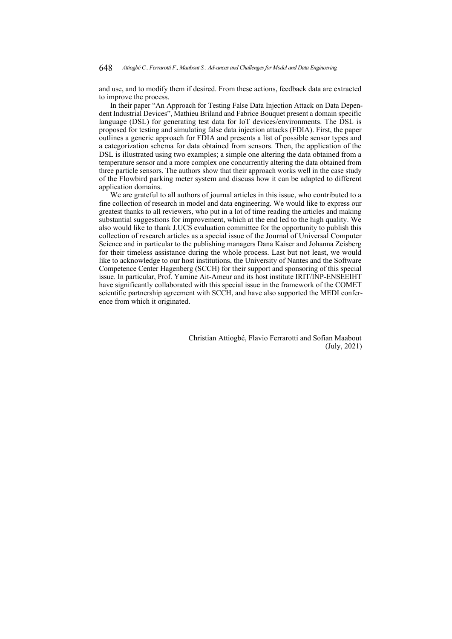and use, and to modify them if desired. From these actions, feedback data are extracted to improve the process.

In their paper "An Approach for Testing False Data Injection Attack on Data Dependent Industrial Devices", Mathieu Briland and Fabrice Bouquet present a domain specific language (DSL) for generating test data for IoT devices/environments. The DSL is proposed for testing and simulating false data injection attacks (FDIA). First, the paper outlines a generic approach for FDIA and presents a list of possible sensor types and a categorization schema for data obtained from sensors. Then, the application of the DSL is illustrated using two examples; a simple one altering the data obtained from a temperature sensor and a more complex one concurrently altering the data obtained from three particle sensors. The authors show that their approach works well in the case study of the Flowbird parking meter system and discuss how it can be adapted to different application domains.

We are grateful to all authors of journal articles in this issue, who contributed to a fine collection of research in model and data engineering. We would like to express our greatest thanks to all reviewers, who put in a lot of time reading the articles and making substantial suggestions for improvement, which at the end led to the high quality. We also would like to thank J.UCS evaluation committee for the opportunity to publish this collection of research articles as a special issue of the Journal of Universal Computer Science and in particular to the publishing managers Dana Kaiser and Johanna Zeisberg for their timeless assistance during the whole process. Last but not least, we would like to acknowledge to our host institutions, the University of Nantes and the Software Competence Center Hagenberg (SCCH) for their support and sponsoring of this special issue. In particular, Prof. Yamine Ait-Ameur and its host institute IRIT/INP-ENSEEIHT have significantly collaborated with this special issue in the framework of the COMET scientific partnership agreement with SCCH, and have also supported the MEDI conference from which it originated.

> Christian Attiogbé, Flavio Ferrarotti and Sofian Maabout (July, 2021)